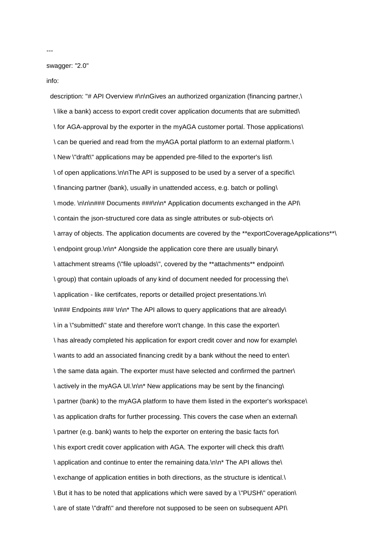swagger: "2.0"

info:

description: "# API Overview #\n\nGives an authorized organization (financing partner,\ \ like a bank) access to export credit cover application documents that are submitted\ \ for AGA-approval by the exporter in the myAGA customer portal. Those applications\ \ can be queried and read from the myAGA portal platform to an external platform.\ \ New \"draft\" applications may be appended pre-filled to the exporter's list\ \ of open applications.\n\nThe API is supposed to be used by a server of a specific\ \ financing partner (bank), usually in unattended access, e.g. batch or polling\ \ mode. \n\n\n### Documents ###\n\n\* Application documents exchanged in the API\ \ contain the json-structured core data as single attributes or sub-objects or\ \ array of objects. The application documents are covered by the \*\*exportCoverageApplications\*\*\ \ endpoint group.\n\n\* Alongside the application core there are usually binary\ \ attachment streams (\"file uploads\", covered by the \*\*attachments\*\* endpoint\ \ group) that contain uploads of any kind of document needed for processing the\ \ application - like certifcates, reports or detailled project presentations.\n\ \n### Endpoints ### \n\n\* The API allows to query applications that are already\ \ in a \"submitted\" state and therefore won't change. In this case the exporter\ \ has already completed his application for export credit cover and now for example\ \ wants to add an associated financing credit by a bank without the need to enter\ \ the same data again. The exporter must have selected and confirmed the partner\ \ actively in the myAGA UI.\n\n\* New applications may be sent by the financing\ \ partner (bank) to the myAGA platform to have them listed in the exporter's workspace\ \ as application drafts for further processing. This covers the case when an external\ \ partner (e.g. bank) wants to help the exporter on entering the basic facts for\ \ his export credit cover application with AGA. The exporter will check this draft\ \ application and continue to enter the remaining data.\n\n\* The API allows the\ \ exchange of application entities in both directions, as the structure is identical.\ \ But it has to be noted that applications which were saved by a \"PUSH\" operation\ \ are of state \"draft\" and therefore not supposed to be seen on subsequent API\

---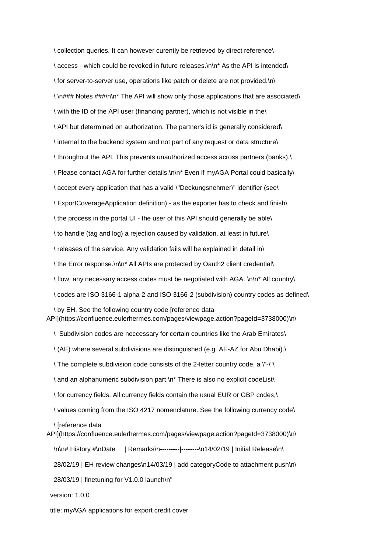\ collection queries. It can however curently be retrieved by direct reference\ \ access - which could be revoked in future releases.\n\n\* As the API is intended\ \ for server-to-server use, operations like patch or delete are not provided.\n\ \ \n### Notes ###\n\n\* The API will show only those applications that are associated\ \ with the ID of the API user (financing partner), which is not visible in the\ \ API but determined on authorization. The partner's id is generally considered\ \ internal to the backend system and not part of any request or data structure\ \ throughout the API. This prevents unauthorized access across partners (banks).\ \ Please contact AGA for further details.\n\n\* Even if myAGA Portal could basically\ \ accept every application that has a valid \"Deckungsnehmer\" identifier (see\ \ ExportCoverageApplication definition) - as the exporter has to check and finish\ \ the process in the portal UI - the user of this API should generally be able\ \ to handle (tag and log) a rejection caused by validation, at least in future\ \ releases of the service. Any validation fails will be explained in detail in\ \ the Error response.\n\n\* All APIs are protected by Oauth2 client credential\ \ flow, any necessary access codes must be negotiated with AGA. \n\n\* All country\ \ codes are ISO 3166-1 alpha-2 and ISO 3166-2 (subdivision) country codes as defined\ \ by EH. See the following country code [reference data API](https://confluence.eulerhermes.com/pages/viewpage.action?pageId=3738000)\n\ \ Subdivision codes are neccessary for certain countries like the Arab Emirates\

\ (AE) where several subdivisions are distinguished (e.g. AE-AZ for Abu Dhabi).\

\ The complete subdivision code consists of the 2-letter country code, a \"-\"\

\ and an alphanumeric subdivision part.\n\* There is also no explicit codeList\

\ for currency fields. All currency fields contain the usual EUR or GBP codes,\

\ values coming from the ISO 4217 nomenclature. See the following currency code\

\ [reference data

API](https://confluence.eulerhermes.com/pages/viewpage.action?pageId=3738000)\n\

\n\n# History #\nDate | Remarks\n---------|--------\n14/02/19 | Initial Release\n\

28/02/19 | EH review changes\n14/03/19 | add categoryCode to attachment push\n\

28/03/19 | finetuning for V1.0.0 launch\n"

version: 1.0.0

title: myAGA applications for export credit cover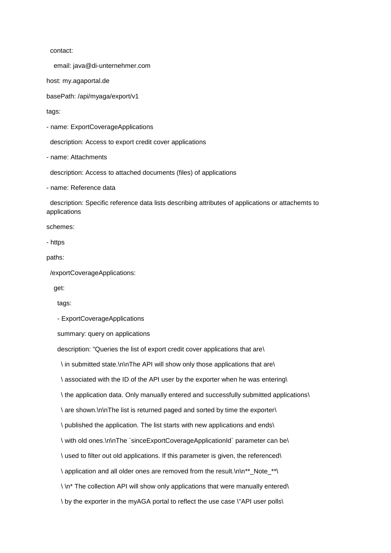contact:

email: java@di-unternehmer.com

host: my.agaportal.de

basePath: /api/myaga/export/v1

tags:

- name: ExportCoverageApplications

description: Access to export credit cover applications

- name: Attachments

description: Access to attached documents (files) of applications

- name: Reference data

 description: Specific reference data lists describing attributes of applications or attachemts to applications

schemes:

- https

paths:

/exportCoverageApplications:

get:

tags:

- ExportCoverageApplications

summary: query on applications

description: "Queries the list of export credit cover applications that are\

\ in submitted state.\n\nThe API will show only those applications that are\

\ associated with the ID of the API user by the exporter when he was entering\

\ the application data. Only manually entered and successfully submitted applications\

\ are shown.\n\nThe list is returned paged and sorted by time the exporter\

\ published the application. The list starts with new applications and ends\

\ with old ones.\n\nThe `sinceExportCoverageApplicationId` parameter can be\

\ used to filter out old applications. If this parameter is given, the referenced\

\ application and all older ones are removed from the result.\n\n\*\*\_Note\_\*\*\

\ \n\* The collection API will show only applications that were manually entered\

\ by the exporter in the myAGA portal to reflect the use case \"API user polls\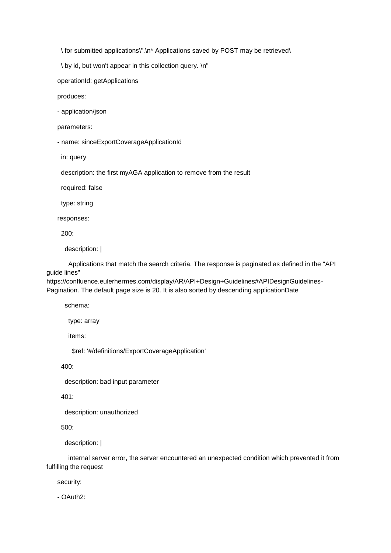\ for submitted applications\".\n\* Applications saved by POST may be retrieved\

\ by id, but won't appear in this collection query. \n"

operationId: getApplications

produces:

- application/json

parameters:

- name: sinceExportCoverageApplicationId

in: query

description: the first myAGA application to remove from the result

required: false

type: string

responses:

200:

description: |

 Applications that match the search criteria. The response is paginated as defined in the "API guide lines"

https://confluence.eulerhermes.com/display/AR/API+Design+Guidelines#APIDesignGuidelines-Pagination. The default page size is 20. It is also sorted by descending applicationDate

schema:

type: array

items:

\$ref: '#/definitions/ExportCoverageApplication'

400:

description: bad input parameter

401:

description: unauthorized

500:

description: |

 internal server error, the server encountered an unexpected condition which prevented it from fulfilling the request

security:

- OAuth2: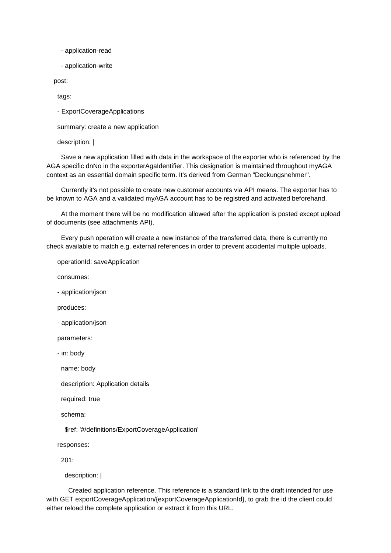- application-read
- application-write

post:

tags:

- ExportCoverageApplications

summary: create a new application

description: |

 Save a new application filled with data in the workspace of the exporter who is referenced by the AGA specific dnNo in the exporterAgaIdentifier. This designation is maintained throughout myAGA context as an essential domain specific term. It's derived from German "Deckungsnehmer".

 Currently it's not possible to create new customer accounts via API means. The exporter has to be known to AGA and a validated myAGA account has to be registred and activated beforehand.

 At the moment there will be no modification allowed after the application is posted except upload of documents (see attachments API).

 Every push operation will create a new instance of the transferred data, there is currently no check available to match e.g. external references in order to prevent accidental multiple uploads.

operationId: saveApplication

consumes:

- application/json

produces:

- application/json

parameters:

- in: body

name: body

description: Application details

required: true

schema:

\$ref: '#/definitions/ExportCoverageApplication'

responses:

201:

description: |

 Created application reference. This reference is a standard link to the draft intended for use with GET exportCoverageApplication/{exportCoverageApplicationId}, to grab the id the client could either reload the complete application or extract it from this URL.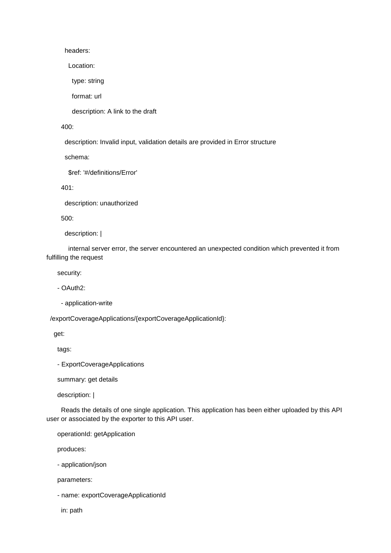headers:

Location:

type: string

format: url

description: A link to the draft

400:

description: Invalid input, validation details are provided in Error structure

schema:

\$ref: '#/definitions/Error'

401:

description: unauthorized

500:

description: |

 internal server error, the server encountered an unexpected condition which prevented it from fulfilling the request

security:

- OAuth2:

- application-write

/exportCoverageApplications/{exportCoverageApplicationId}:

get:

tags:

- ExportCoverageApplications

summary: get details

description: |

 Reads the details of one single application. This application has been either uploaded by this API user or associated by the exporter to this API user.

operationId: getApplication

produces:

- application/json

parameters:

- name: exportCoverageApplicationId

in: path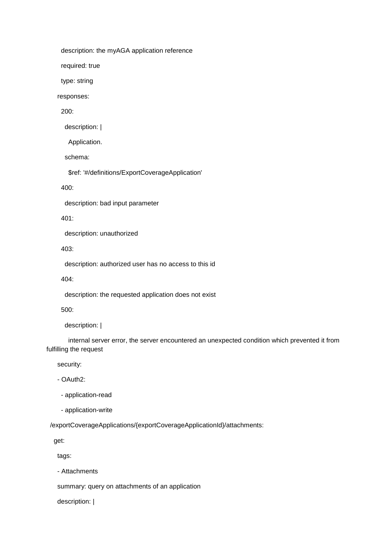description: the myAGA application reference

required: true

type: string

responses:

200:

description: |

Application.

schema:

\$ref: '#/definitions/ExportCoverageApplication'

400:

description: bad input parameter

401:

description: unauthorized

403:

description: authorized user has no access to this id

404:

description: the requested application does not exist

500:

description: |

 internal server error, the server encountered an unexpected condition which prevented it from fulfilling the request

security:

- OAuth2:

- application-read

- application-write

/exportCoverageApplications/{exportCoverageApplicationId}/attachments:

get:

tags:

- Attachments

summary: query on attachments of an application

description: |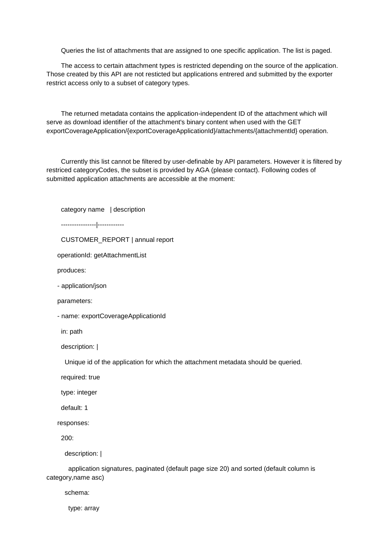Queries the list of attachments that are assigned to one specific application. The list is paged.

 The access to certain attachment types is restricted depending on the source of the application. Those created by this API are not resticted but applications entrered and submitted by the exporter restrict access only to a subset of category types.

 The returned metadata contains the application-independent ID of the attachment which will serve as download identifier of the attachment's binary content when used with the GET exportCoverageApplication/{exportCoverageApplicationId}/attachments/{attachmentId} operation.

 Currently this list cannot be filtered by user-definable by API parameters. However it is filtered by restriced categoryCodes, the subset is provided by AGA (please contact). Following codes of submitted application attachments are accessible at the moment:

category name | description

----------------|------------

CUSTOMER\_REPORT | annual report

operationId: getAttachmentList

produces:

- application/json

parameters:

- name: exportCoverageApplicationId

in: path

description: |

Unique id of the application for which the attachment metadata should be queried.

required: true

type: integer

default: 1

responses:

200:

description: |

 application signatures, paginated (default page size 20) and sorted (default column is category,name asc)

schema:

type: array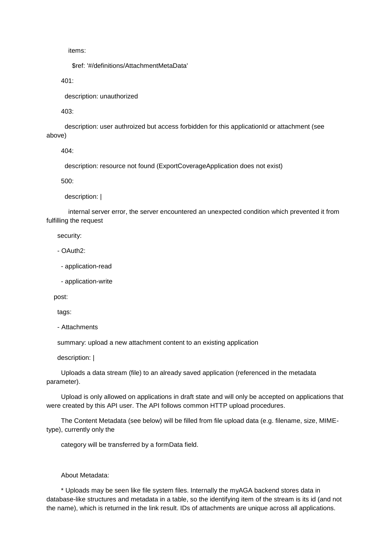items:

\$ref: '#/definitions/AttachmentMetaData'

401:

description: unauthorized

403:

 description: user authroized but access forbidden for this applicationId or attachment (see above)

404:

description: resource not found (ExportCoverageApplication does not exist)

500:

description: |

 internal server error, the server encountered an unexpected condition which prevented it from fulfilling the request

security:

- OAuth2:

- application-read

- application-write

post:

tags:

- Attachments

summary: upload a new attachment content to an existing application

description: |

 Uploads a data stream (file) to an already saved application (referenced in the metadata parameter).

 Upload is only allowed on applications in draft state and will only be accepted on applications that were created by this API user. The API follows common HTTP upload procedures.

 The Content Metadata (see below) will be filled from file upload data (e.g. filename, size, MIMEtype), currently only the

category will be transferred by a formData field.

About Metadata:

 \* Uploads may be seen like file system files. Internally the myAGA backend stores data in database-like structures and metadata in a table, so the identifying item of the stream is its id (and not the name), which is returned in the link result. IDs of attachments are unique across all applications.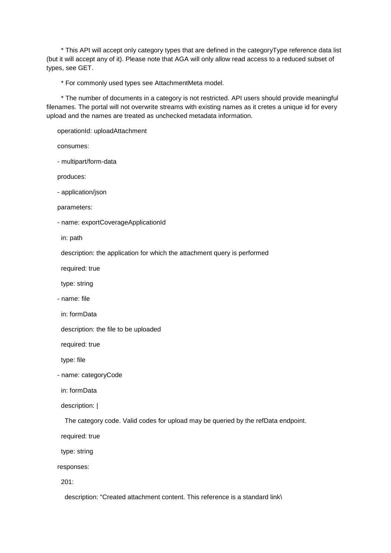\* This API will accept only category types that are defined in the categoryType reference data list (but it will accept any of it). Please note that AGA will only allow read access to a reduced subset of types, see GET.

\* For commonly used types see AttachmentMeta model.

 \* The number of documents in a category is not restricted. API users should provide meaningful filenames. The portal will not overwrite streams with existing names as it cretes a unique id for every upload and the names are treated as unchecked metadata information.

operationId: uploadAttachment

consumes:

- multipart/form-data

produces:

- application/json

parameters:

- name: exportCoverageApplicationId

in: path

description: the application for which the attachment query is performed

required: true

type: string

- name: file

in: formData

description: the file to be uploaded

required: true

type: file

- name: categoryCode

in: formData

description: |

The category code. Valid codes for upload may be queried by the refData endpoint.

required: true

type: string

responses:

201:

description: "Created attachment content. This reference is a standard link\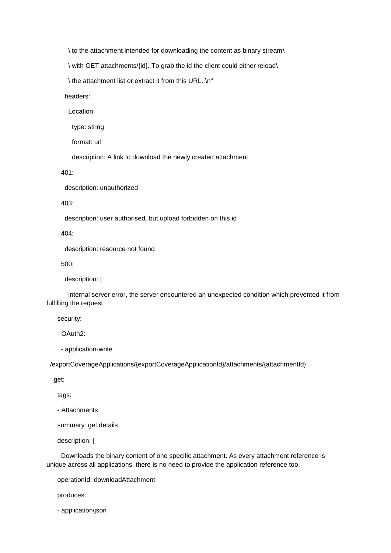\ to the attachment intended for downloading the content as binary stream\

\ with GET attachments/{id}. To grab the id the client could either reload\

\ the attachment list or extract it from this URL. \n"

headers:

Location:

type: string

format: url

description: A link to download the newly created attachment

401:

description: unauthorized

403:

description: user authorised, but upload forbidden on this id

404:

description: resource not found

500:

description: |

 internal server error, the server encountered an unexpected condition which prevented it from fulfilling the request

security:

- OAuth2:

- application-write

/exportCoverageApplications/{exportCoverageApplicationId}/attachments/{attachmentId}:

get:

tags:

- Attachments

summary: get details

description: |

 Downloads the binary content of one specific attachment. As every attachment reference is unique across all applications, there is no need to provide the application reference too.

operationId: downloadAttachment

produces:

- application/json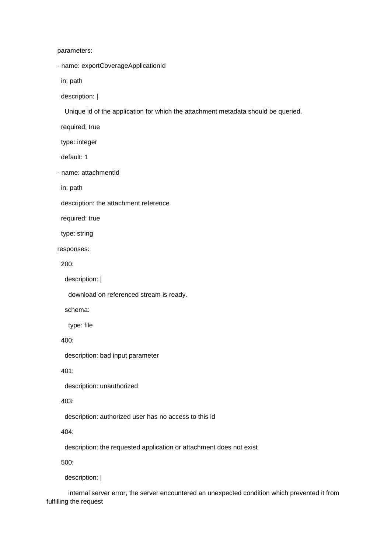parameters:

- name: exportCoverageApplicationId

in: path

description: |

Unique id of the application for which the attachment metadata should be queried.

required: true

type: integer

default: 1

- name: attachmentId

in: path

description: the attachment reference

required: true

type: string

responses:

200:

description: |

download on referenced stream is ready.

schema:

type: file

400:

description: bad input parameter

401:

description: unauthorized

403:

description: authorized user has no access to this id

404:

description: the requested application or attachment does not exist

500:

description: |

 internal server error, the server encountered an unexpected condition which prevented it from fulfilling the request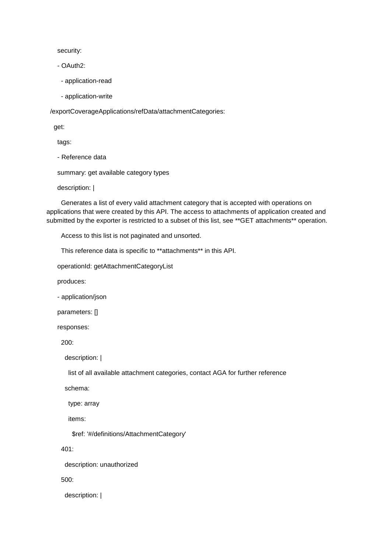security:

- OAuth2:

- application-read

- application-write

/exportCoverageApplications/refData/attachmentCategories:

get:

tags:

- Reference data

summary: get available category types

description: |

 Generates a list of every valid attachment category that is accepted with operations on applications that were created by this API. The access to attachments of application created and submitted by the exporter is restricted to a subset of this list, see \*\*GET attachments\*\* operation.

Access to this list is not paginated and unsorted.

This reference data is specific to \*\*attachments\*\* in this API.

operationId: getAttachmentCategoryList

produces:

- application/json

parameters: []

responses:

200:

description: |

list of all available attachment categories, contact AGA for further reference

schema:

type: array

items:

\$ref: '#/definitions/AttachmentCategory'

401:

description: unauthorized

500:

description: |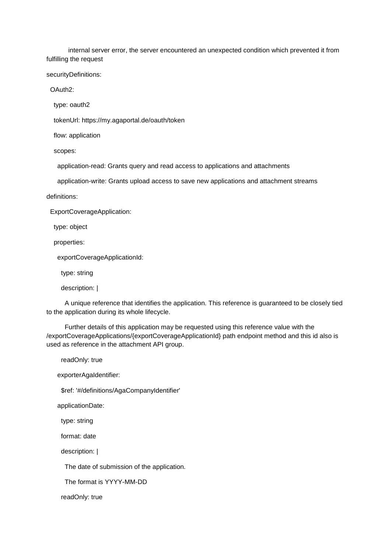internal server error, the server encountered an unexpected condition which prevented it from fulfilling the request

securityDefinitions:

OAuth2:

type: oauth2

tokenUrl: https://my.agaportal.de/oauth/token

flow: application

scopes:

application-read: Grants query and read access to applications and attachments

application-write: Grants upload access to save new applications and attachment streams

definitions:

ExportCoverageApplication:

type: object

properties:

exportCoverageApplicationId:

type: string

description: |

 A unique reference that identifies the application. This reference is guaranteed to be closely tied to the application during its whole lifecycle.

 Further details of this application may be requested using this reference value with the /exportCoverageApplications/{exportCoverageApplicationId} path endpoint method and this id also is used as reference in the attachment API group.

readOnly: true

exporterAgaIdentifier:

\$ref: '#/definitions/AgaCompanyIdentifier'

applicationDate:

type: string

format: date

description: |

The date of submission of the application.

The format is YYYY-MM-DD

readOnly: true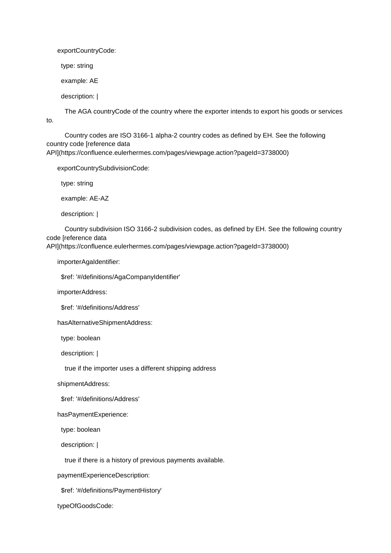exportCountryCode:

type: string

example: AE

description: |

to.

The AGA countryCode of the country where the exporter intends to export his goods or services

 Country codes are ISO 3166-1 alpha-2 country codes as defined by EH. See the following country code [reference data API](https://confluence.eulerhermes.com/pages/viewpage.action?pageId=3738000)

exportCountrySubdivisionCode:

type: string

example: AE-AZ

description: |

 Country subdivision ISO 3166-2 subdivision codes, as defined by EH. See the following country code [reference data

API](https://confluence.eulerhermes.com/pages/viewpage.action?pageId=3738000)

importerAgaIdentifier:

\$ref: '#/definitions/AgaCompanyIdentifier'

importerAddress:

\$ref: '#/definitions/Address'

hasAlternativeShipmentAddress:

type: boolean

description: |

true if the importer uses a different shipping address

shipmentAddress:

\$ref: '#/definitions/Address'

hasPaymentExperience:

type: boolean

description: |

true if there is a history of previous payments available.

paymentExperienceDescription:

\$ref: '#/definitions/PaymentHistory'

typeOfGoodsCode: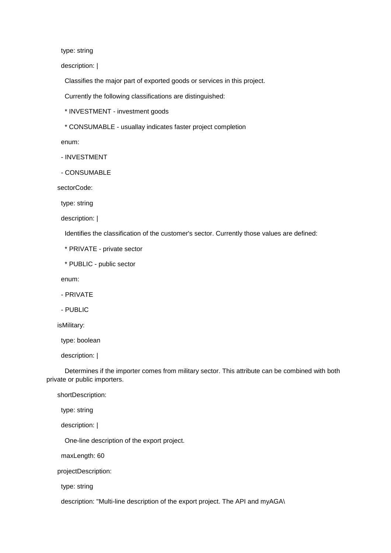type: string

description: |

Classifies the major part of exported goods or services in this project.

Currently the following classifications are distinguished:

\* INVESTMENT - investment goods

\* CONSUMABLE - usuallay indicates faster project completion

enum:

- INVESTMENT

- CONSUMABLE

sectorCode:

type: string

description: |

Identifies the classification of the customer's sector. Currently those values are defined:

\* PRIVATE - private sector

\* PUBLIC - public sector

enum:

- PRIVATE

- PUBLIC

isMilitary:

type: boolean

description: |

 Determines if the importer comes from military sector. This attribute can be combined with both private or public importers.

shortDescription:

type: string

description: |

One-line description of the export project.

maxLength: 60

projectDescription:

type: string

description: "Multi-line description of the export project. The API and myAGA\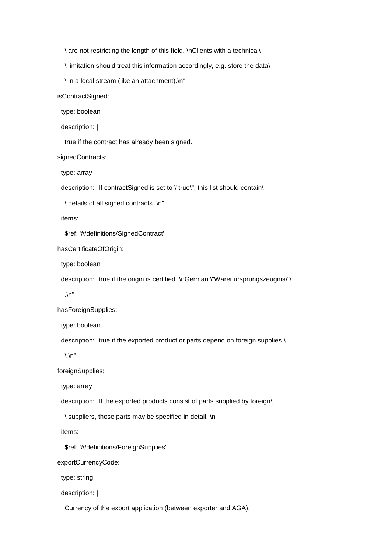\ are not restricting the length of this field. \nClients with a technical\

\ limitation should treat this information accordingly, e.g. store the data\

\ in a local stream (like an attachment).\n"

isContractSigned:

type: boolean

description: |

true if the contract has already been signed.

signedContracts:

type: array

description: "If contractSigned is set to \"true\", this list should contain\

\ details of all signed contracts. \n"

items:

\$ref: '#/definitions/SignedContract'

hasCertificateOfOrigin:

type: boolean

description: "true if the origin is certified. \nGerman \"Warenursprungszeugnis\"\

.\n"

hasForeignSupplies:

type: boolean

description: "true if the exported product or parts depend on foreign supplies.\

 $\langle \n\ \n\ \n\ \n\$ 

foreignSupplies:

type: array

description: "If the exported products consist of parts supplied by foreign\

\ suppliers, those parts may be specified in detail. \n"

items:

\$ref: '#/definitions/ForeignSupplies'

exportCurrencyCode:

type: string

description: |

Currency of the export application (between exporter and AGA).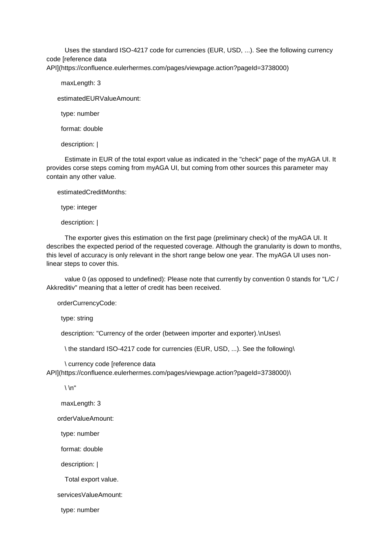Uses the standard ISO-4217 code for currencies (EUR, USD, ...). See the following currency code [reference data API](https://confluence.eulerhermes.com/pages/viewpage.action?pageId=3738000)

maxLength: 3

estimatedEURValueAmount:

type: number

format: double

description: |

 Estimate in EUR of the total export value as indicated in the "check" page of the myAGA UI. It provides corse steps coming from myAGA UI, but coming from other sources this parameter may contain any other value.

estimatedCreditMonths:

type: integer

description: |

 The exporter gives this estimation on the first page (preliminary check) of the myAGA UI. It describes the expected period of the requested coverage. Although the granularity is down to months, this level of accuracy is only relevant in the short range below one year. The myAGA UI uses nonlinear steps to cover this.

 value 0 (as opposed to undefined): Please note that currently by convention 0 stands for "L/C / Akkreditiv" meaning that a letter of credit has been received.

orderCurrencyCode:

type: string

description: "Currency of the order (between importer and exporter).\nUses\

\ the standard ISO-4217 code for currencies (EUR, USD, ...). See the following\

 \ currency code [reference data API](https://confluence.eulerhermes.com/pages/viewpage.action?pageId=3738000)\

 $\ln$ "

maxLength: 3

orderValueAmount:

type: number

format: double

description: |

Total export value.

servicesValueAmount:

type: number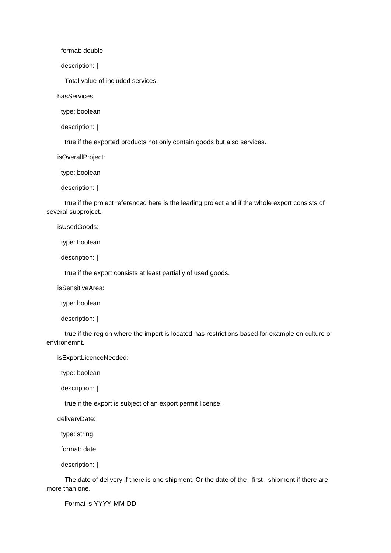format: double

description: |

Total value of included services.

hasServices:

type: boolean

description: |

true if the exported products not only contain goods but also services.

isOverallProject:

type: boolean

description: |

 true if the project referenced here is the leading project and if the whole export consists of several subproject.

isUsedGoods:

type: boolean

description: |

true if the export consists at least partially of used goods.

isSensitiveArea:

type: boolean

description: |

 true if the region where the import is located has restrictions based for example on culture or environemnt.

isExportLicenceNeeded:

type: boolean

description: |

true if the export is subject of an export permit license.

deliveryDate:

type: string

format: date

description: |

 The date of delivery if there is one shipment. Or the date of the \_first\_ shipment if there are more than one.

Format is YYYY-MM-DD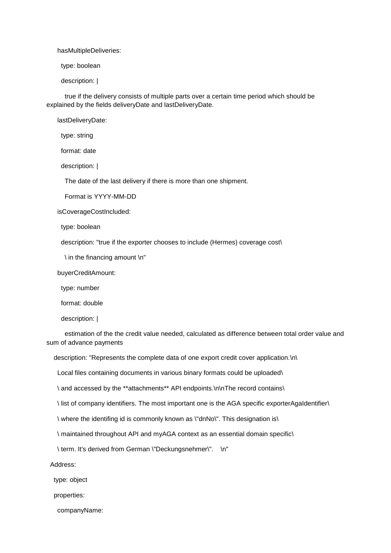hasMultipleDeliveries:

type: boolean

description: |

 true if the delivery consists of multiple parts over a certain time period which should be explained by the fields deliveryDate and lastDeliveryDate.

lastDeliveryDate:

type: string

format: date

description: |

The date of the last delivery if there is more than one shipment.

Format is YYYY-MM-DD

isCoverageCostIncluded:

type: boolean

description: "true if the exporter chooses to include (Hermes) coverage cost\

\ in the financing amount \n"

buyerCreditAmount:

type: number

format: double

description: |

 estimation of the the credit value needed, calculated as difference between total order value and sum of advance payments

description: "Represents the complete data of one export credit cover application.\n\

Local files containing documents in various binary formats could be uploaded\

\ and accessed by the \*\*attachments\*\* API endpoints.\n\nThe record contains\

\ list of company identifiers. The most important one is the AGA specific exporterAgaIdentifier\

\ where the identifing id is commonly known as \"dnNo\". This designation is\

\ maintained throughout API and myAGA context as an essential domain specific\

\ term. It's derived from German \"Deckungsnehmer\". \n"

Address:

type: object

properties:

companyName: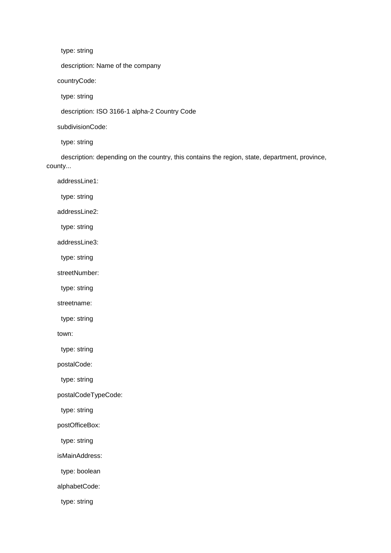type: string

description: Name of the company

countryCode:

type: string

description: ISO 3166-1 alpha-2 Country Code

subdivisionCode:

type: string

 description: depending on the country, this contains the region, state, department, province, county...

addressLine1:

type: string

addressLine2:

type: string

addressLine3:

type: string

streetNumber:

type: string

streetname:

type: string

town:

type: string

postalCode:

type: string

postalCodeTypeCode:

type: string

postOfficeBox:

type: string

isMainAddress:

type: boolean

alphabetCode:

type: string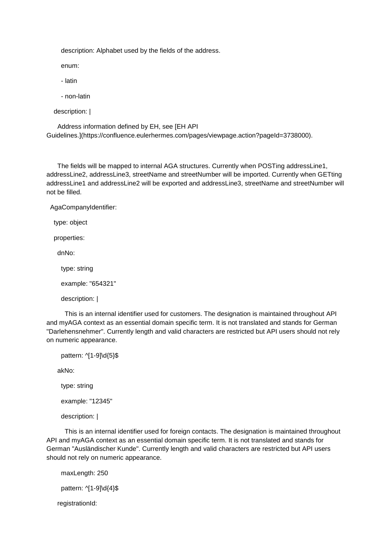description: Alphabet used by the fields of the address.

enum:

- latin

- non-latin

```
 description: |
```
 Address information defined by EH, see [EH API Guidelines.](https://confluence.eulerhermes.com/pages/viewpage.action?pageId=3738000).

 The fields will be mapped to internal AGA structures. Currently when POSTing addressLine1, addressLine2, addressLine3, streetName and streetNumber will be imported. Currently when GETting addressLine1 and addressLine2 will be exported and addressLine3, streetName and streetNumber will not be filled.

AgaCompanyIdentifier:

type: object

properties:

dnNo:

type: string

example: "654321"

description: |

 This is an internal identifier used for customers. The designation is maintained throughout API and myAGA context as an essential domain specific term. It is not translated and stands for German "Darlehensnehmer". Currently length and valid characters are restricted but API users should not rely on numeric appearance.

pattern: ^[1-9]\d{5}\$ akNo: type: string example: "12345" description: |

 This is an internal identifier used for foreign contacts. The designation is maintained throughout API and myAGA context as an essential domain specific term. It is not translated and stands for German "Ausländischer Kunde". Currently length and valid characters are restricted but API users should not rely on numeric appearance.

 maxLength: 250 pattern: ^[1-9]\d{4}\$ registrationId: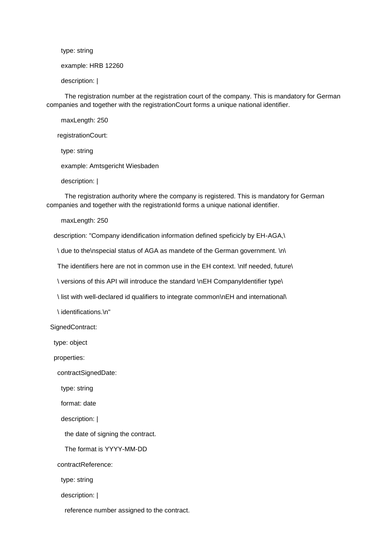type: string

example: HRB 12260

description: |

 The registration number at the registration court of the company. This is mandatory for German companies and together with the registrationCourt forms a unique national identifier.

 maxLength: 250 registrationCourt: type: string example: Amtsgericht Wiesbaden

description: |

 The registration authority where the company is registered. This is mandatory for German companies and together with the registrationId forms a unique national identifier.

maxLength: 250

description: "Company idendification information defined speficicly by EH-AGA,\

\ due to the\nspecial status of AGA as mandete of the German government. \n\

The identifiers here are not in common use in the EH context. \nIf needed, future\

\ versions of this API will introduce the standard \nEH CompanyIdentifier type\

\ list with well-declared id qualifiers to integrate common\nEH and international\

\ identifications.\n"

SignedContract:

type: object

properties:

contractSignedDate:

type: string

format: date

description: |

the date of signing the contract.

The format is YYYY-MM-DD

contractReference:

type: string

description: |

reference number assigned to the contract.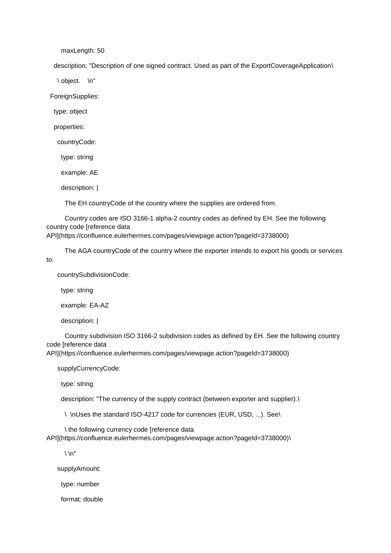maxLength: 50

description: "Description of one signed contract. Used as part of the ExportCoverageApplication\

\ object. \n"

ForeignSupplies:

type: object

properties:

countryCode:

type: string

example: AE

description: |

The EH countryCode of the country where the supplies are ordered from.

 Country codes are ISO 3166-1 alpha-2 country codes as defined by EH. See the following country code [reference data

API](https://confluence.eulerhermes.com/pages/viewpage.action?pageId=3738000)

The AGA countryCode of the country where the exporter intends to export his goods or services

countrySubdivisionCode:

type: string

to.

example: EA-AZ

description: |

 Country subdivision ISO 3166-2 subdivision codes as defined by EH. See the following country code [reference data

API](https://confluence.eulerhermes.com/pages/viewpage.action?pageId=3738000)

supplyCurrencyCode:

type: string

description: "The currency of the supply contract (between exporter and supplier).\

\ \nUses the standard ISO-4217 code for currencies (EUR, USD, ...). See\

\ the following currency code [reference data

API](https://confluence.eulerhermes.com/pages/viewpage.action?pageId=3738000)\

 $\ln$ "

supplyAmount:

type: number

format: double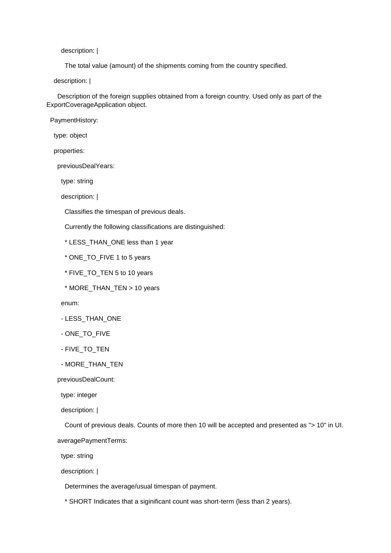description: |

The total value (amount) of the shipments coming from the country specified.

description: |

 Description of the foreign supplies obtained from a foreign country. Used only as part of the ExportCoverageApplication object.

PaymentHistory:

type: object

properties:

previousDealYears:

type: string

description: |

Classifies the timespan of previous deals.

Currently the following classifications are distinguished:

\* LESS\_THAN\_ONE less than 1 year

- \* ONE\_TO\_FIVE 1 to 5 years
- \* FIVE\_TO\_TEN 5 to 10 years
- \* MORE\_THAN\_TEN > 10 years

enum:

- LESS\_THAN\_ONE
- ONE\_TO\_FIVE
- FIVE TO TEN
- MORE\_THAN\_TEN

previousDealCount:

type: integer

description: |

 Count of previous deals. Counts of more then 10 will be accepted and presented as "> 10" in UI. averagePaymentTerms:

type: string

description: |

Determines the average/usual timespan of payment.

\* SHORT Indicates that a siginificant count was short-term (less than 2 years).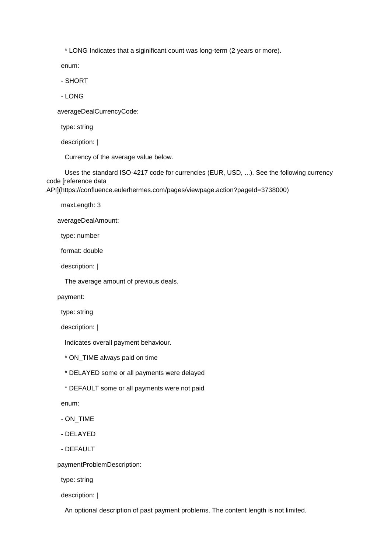\* LONG Indicates that a siginificant count was long-term (2 years or more).

enum:

- SHORT

- LONG

averageDealCurrencyCode:

type: string

description: |

Currency of the average value below.

 Uses the standard ISO-4217 code for currencies (EUR, USD, ...). See the following currency code [reference data

API](https://confluence.eulerhermes.com/pages/viewpage.action?pageId=3738000)

maxLength: 3

averageDealAmount:

type: number

format: double

description: |

The average amount of previous deals.

payment:

type: string

description: |

Indicates overall payment behaviour.

\* ON\_TIME always paid on time

\* DELAYED some or all payments were delayed

\* DEFAULT some or all payments were not paid

enum:

- ON\_TIME

- DELAYED

- DEFAULT

paymentProblemDescription:

type: string

description: |

An optional description of past payment problems. The content length is not limited.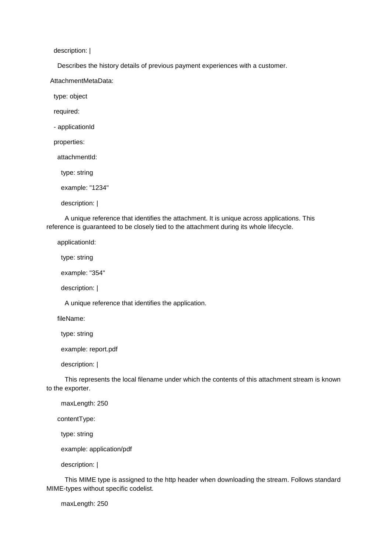description: |

Describes the history details of previous payment experiences with a customer.

AttachmentMetaData:

type: object

required:

- applicationId

properties:

attachmentId:

type: string

example: "1234"

description: |

 A unique reference that identifies the attachment. It is unique across applications. This reference is guaranteed to be closely tied to the attachment during its whole lifecycle.

applicationId:

type: string

example: "354"

description: |

A unique reference that identifies the application.

fileName:

type: string

example: report.pdf

description: |

 This represents the local filename under which the contents of this attachment stream is known to the exporter.

maxLength: 250

contentType:

type: string

example: application/pdf

description: |

 This MIME type is assigned to the http header when downloading the stream. Follows standard MIME-types without specific codelist.

maxLength: 250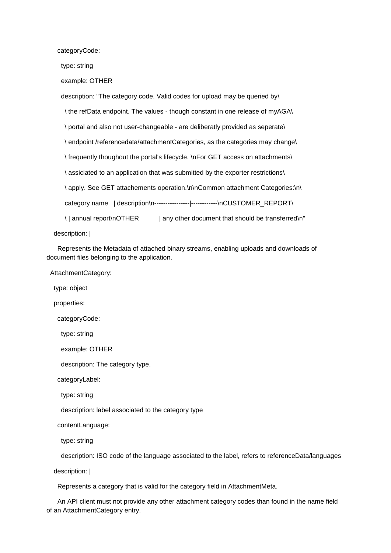categoryCode:

type: string

example: OTHER

description: "The category code. Valid codes for upload may be queried by\

\ the refData endpoint. The values - though constant in one release of myAGA\

\ portal and also not user-changeable - are deliberatly provided as seperate\

\ endpoint /referencedata/attachmentCategories, as the categories may change\

\ frequently thoughout the portal's lifecycle. \nFor GET access on attachments\

\ assiciated to an application that was submitted by the exporter restrictions\

\apply. See GET attachements operation.\n\nCommon attachment Categories:\n\

category name | description\n--------------------------------\nCUSTOMER\_REPORT\

\| annual report\nOTHER | any other document that should be transferred\n"

description: |

 Represents the Metadata of attached binary streams, enabling uploads and downloads of document files belonging to the application.

AttachmentCategory:

type: object

properties:

categoryCode:

type: string

example: OTHER

description: The category type.

categoryLabel:

type: string

description: label associated to the category type

contentLanguage:

type: string

description: ISO code of the language associated to the label, refers to referenceData/languages

description: |

Represents a category that is valid for the category field in AttachmentMeta.

 An API client must not provide any other attachment category codes than found in the name field of an AttachmentCategory entry.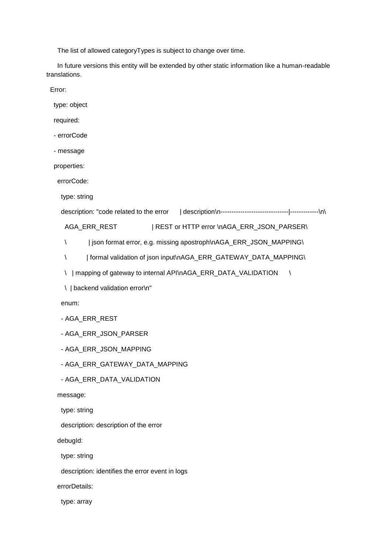The list of allowed categoryTypes is subject to change over time.

 In future versions this entity will be extended by other static information like a human-readable translations.

Error:

type: object

required:

- errorCode

- message

properties:

errorCode:

type: string

```
 description: "code related to the error | description\n-------------------------------|-------------\n\
```
AGA\_ERR\_REST | REST or HTTP error \nAGA\_ERR\_JSON\_PARSER\

\ | json format error, e.g. missing apostroph\nAGA\_ERR\_JSON\_MAPPING\

\ | formal validation of json input\nAGA\_ERR\_GATEWAY\_DATA\_MAPPING\

\ | mapping of gateway to internal API\nAGA\_ERR\_DATA\_VALIDATION \

enum:

- AGA\_ERR\_REST
- AGA\_ERR\_JSON\_PARSER
- AGA\_ERR\_JSON\_MAPPING
- AGA\_ERR\_GATEWAY\_DATA\_MAPPING
- AGA\_ERR\_DATA\_VALIDATION

message:

type: string

description: description of the error

debugId:

type: string

description: identifies the error event in logs

errorDetails:

type: array

 <sup>\ |</sup> backend validation error\n"